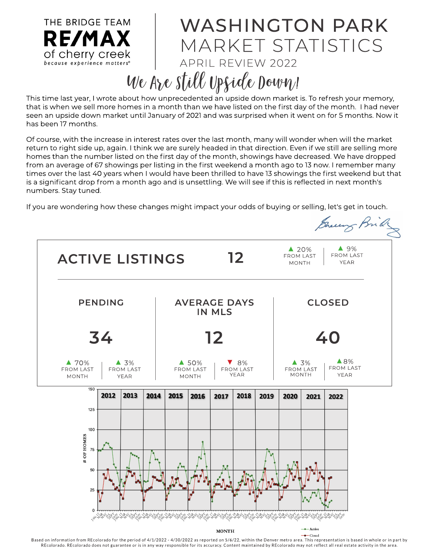THE BRIDGE TEAM WASHINGTON PARK RE/MAX MARKET STATISTICS of cherry creek APRIL REVIEW 2022 because experience matters® We Are still Upside Down!

This time last year, I wrote about how unprecedented an upside down market is. To refresh your memory, that is when we sell more homes in a month than we have listed on the first day of the month. I had never seen an upside down market until January of 2021 and was surprised when it went on for 5 months. Now it has been 17 months.

Of course, with the increase in interest rates over the last month, many will wonder when will the market return to right side up, again. I think we are surely headed in that direction. Even if we still are selling more homes than the number listed on the first day of the month, showings have decreased. We have dropped from an average of 67 showings per listing in the first weekend a month ago to 13 now. I remember many times over the last 40 years when I would have been thrilled to have 13 showings the first weekend but that is a significant drop from a month ago and is unsettling. We will see if this is reflected in next month's num bers. Stay tuned.

If you are wondering how these changes might impact your odds of buying or selling, let's get in touch.



Based on information from REcolorado for the period of 4/1/2022 - 4/30/2022 as reported on 5/6/22, within the Denver metro area. This representation is based in whole or in part by REcolorado. REcolorado does not guarantee or is in any way responsible for its accuracy. Content maintained by REcolorado may not reflect all real estate activity in the area.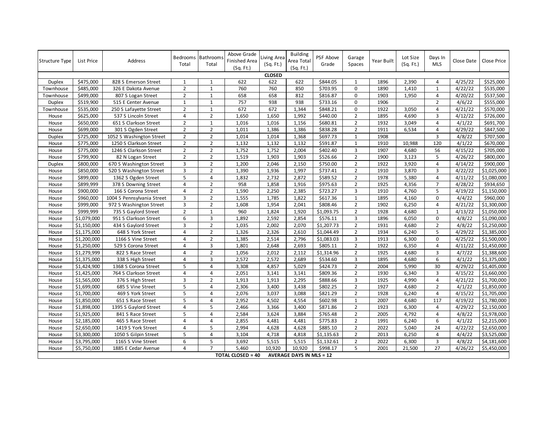| Structure Type | List Price  | Address                    | Total                   | Bedrooms Bathroom:<br>Total | Above Grade<br><b>Finished Area</b><br>(Sq. Ft.) | Living Area<br>(Sq. Ft.) | <b>Building</b><br>Area Total<br>(Sq. Ft.) | PSF Above<br>Grade | Garage<br>Spaces        | Year Built | Lot Size<br>(Sq. Ft.) | Days In<br><b>MLS</b> | Close Date | Close Price |
|----------------|-------------|----------------------------|-------------------------|-----------------------------|--------------------------------------------------|--------------------------|--------------------------------------------|--------------------|-------------------------|------------|-----------------------|-----------------------|------------|-------------|
|                |             |                            |                         |                             |                                                  | <b>CLOSED</b>            |                                            |                    |                         |            |                       |                       |            |             |
| <b>Duplex</b>  | \$475,000   | 828 S Emerson Street       | 1                       | 1                           | 622                                              | 622                      | 622                                        | \$844.05           | 1                       | 1896       | 2,390                 | 4                     | 4/25/22    | \$525,000   |
| Townhouse      | \$485,000   | 326 E Dakota Avenue        | $\overline{2}$          | $\mathbf 1$                 | 760                                              | 760                      | 850                                        | \$703.95           | 0                       | 1890       | 1,410                 | $\mathbf 1$           | 4/22/22    | \$535,000   |
| Townhouse      | \$499,000   | 807 S Logan Street         | $\overline{2}$          | $\mathbf{1}$                | 658                                              | 658                      | 812                                        | \$816.87           | $\mathbf 0$             | 1903       | 1,950                 | 4                     | 4/20/22    | \$537,500   |
| Duplex         | \$519,900   | 515 E Center Avenue        | $\mathbf{1}$            | $\mathbf 1$                 | 757                                              | 938                      | 938                                        | \$733.16           | 0                       | 1906       |                       | $\overline{2}$        | 4/6/22     | \$555,000   |
| Townhouse      | \$535,000   | 250 S Lafayette Street     | $\overline{2}$          | $\mathbf{1}$                | 672                                              | 672                      | 1,344                                      | \$848.21           | $\mathbf 0$             | 1922       | 3,050                 | 4                     | 4/21/22    | \$570,000   |
| House          | \$625,000   | 537 S Lincoln Street       | $\overline{4}$          | $\overline{2}$              | 1,650                                            | 1,650                    | 1,992                                      | \$440.00           | $\overline{2}$          | 1895       | 4,690                 | 3                     | 4/12/22    | \$726,000   |
| House          | \$650,000   | 651 S Clarkson Street      | $\overline{2}$          | $\mathbf{1}$                | 1,016                                            | 1,016                    | 1,156                                      | \$680.81           | $\overline{2}$          | 1932       | 3,049                 | $\overline{4}$        | 4/1/22     | 5691,700    |
| House          | \$699,000   | 301 S Ogden Street         | $\overline{2}$          | $\overline{2}$              | 1,011                                            | 1,386                    | 1,386                                      | \$838.28           | $\overline{2}$          | 1911       | 6,534                 | 4                     | 4/29/22    | \$847,500   |
| <b>Duplex</b>  | \$725,000   | 1052 S Washington Street   | $\overline{2}$          | $\overline{2}$              | 1,014                                            | 1,014                    | 1,368                                      | \$697.73           | $\mathbf{1}$            | 1908       |                       | 3                     | 4/8/22     | \$707,500   |
| House          | \$775,000   | 1250 S Clarkson Street     | $\overline{2}$          | $\overline{2}$              | 1,132                                            | 1,132                    | 1,132                                      | \$591.87           | $\mathbf{1}$            | 1910       | 10,988                | 120                   | 4/1/22     | \$670,000   |
| House          | \$775,000   | 1246 S Clarkson Street     | $\overline{2}$          | $\overline{2}$              | 1,752                                            | 1,752                    | 2,004                                      | \$402.40           | 3                       | 1907       | 4,680                 | 56                    | 4/15/22    | \$705,000   |
| House          | \$799,900   | 82 N Logan Street          | $\overline{2}$          | $\overline{2}$              | 1,519                                            | 1,903                    | 1,903                                      | \$526.66           | $\overline{2}$          | 1900       | 3,123                 | 5                     | 4/26/22    | \$800,000   |
| Duplex         | \$800,000   | 670 S Washington Street    | $\overline{\mathbf{3}}$ | $\overline{2}$              | 1,200                                            | 2,046                    | 2,150                                      | \$750.00           | $\overline{2}$          | 1922       | 3,920                 | $\overline{4}$        | 4/14/22    | \$900,000   |
| House          | \$850,000   | 520 S Washington Street    | 3                       | $\overline{2}$              | 1,390                                            | 1,936                    | 1,997                                      | \$737.41           | $\overline{2}$          | 1910       | 3,870                 | 3                     | 4/22/22    | \$1,025,000 |
| House          | \$899,000   | 1362 S Ogden Street        | 5                       | $\overline{4}$              | 1,832                                            | 2,732                    | 2,872                                      | \$589.52           | $\overline{2}$          | 1978       | 5,380                 | $\overline{4}$        | 4/11/22    | \$1,080,000 |
| House          | \$899,999   | 378 S Downing Street       | $\overline{4}$          | $\overline{2}$              | 958                                              | 1,858                    | 1,916                                      | \$975.63           | $\overline{2}$          | 1925       | 4,356                 | $\overline{7}$        | 4/28/22    | \$934,650   |
| House          | \$900,000   | 166 S Corona Street        | 4                       | $\overline{2}$              | 1,590                                            | 2,250                    | 2,385                                      | \$723.27           | 3                       | 1910       | 4,760                 | 5                     | 4/19/22    | \$1,150,000 |
| House          | \$960,000   | 1004 S Pennsylvania Street | 3                       | $\overline{2}$              | 1,555                                            | 1,785                    | 1,822                                      | \$617.36           | $\mathbf{1}$            | 1895       | 4,160                 | $\mathbf 0$           | 4/4/22     | \$960,000   |
| House          | \$999,000   | 972 S Washington Street    | 3                       | $\overline{2}$              | 1,608                                            | 1,954                    | 2,041                                      | \$808.46           | $\overline{2}$          | 1902       | 6,250                 | 4                     | 4/21/22    | \$1,300,000 |
| House          | \$999,999   | 735 S Gaylord Street       | $\overline{2}$          | $\mathbf{1}$                | 960                                              | 1,824                    | 1,920                                      | \$1,093.75         | $\overline{2}$          | 1928       | 4,680                 | $\mathbf{1}$          | 4/13/22    | \$1,050,000 |
| House          | \$1,079,000 | 951 S Clarkson Street      | 6                       | $\overline{3}$              | 1,892                                            | 2,592                    | 2,854                                      | \$576.11           | $\overline{\mathbf{3}}$ | 1896       | 6,050                 | $\Omega$              | 4/8/22     | \$1,090,000 |
| House          | \$1,150,000 | 434 S Gaylord Street       | 3                       | $\overline{2}$              | 1,035                                            | 2,002                    | 2,070                                      | \$1,207.73         | $\overline{2}$          | 1931       | 4,680                 | $\overline{2}$        | 4/8/22     | \$1,250,000 |
| House          | \$1,175,000 | 648 S York Street          | 4                       | $\overline{2}$              | 1,326                                            | 2,326                    | 2,610                                      | \$1,044.49         | $\overline{2}$          | 1934       | 6,240                 | 5                     | 4/29/22    | \$1,385,000 |
| House          | \$1,200,000 | 1166 S Vine Street         | $\overline{4}$          | $\overline{2}$              | 1,385                                            | 2,514                    | 2,796                                      | \$1,083.03         | $\overline{\mathbf{3}}$ | 1913       | 6,300                 | $\Omega$              | 4/25/22    | \$1,500,000 |
| House          | \$1,250,000 | 529 S Corona Street        | 4                       | 3                           | 1,801                                            | 2,648                    | 2,693                                      | \$805.11           | $\overline{2}$          | 1922       | 6,350                 | $\overline{4}$        | 4/11/22    | \$1,450,000 |
| House          | \$1,279,999 | 822 S Race Street          | 4                       | $\overline{2}$              | 1,056                                            | 2,012                    | 2,112                                      | \$1,314.96         | $\overline{2}$          | 1925       | 4,680                 | 3                     | 4/7/22     | \$1,388,600 |
| House          | \$1,375,000 | 338 S High Street          | $\overline{4}$          | 3                           | 2,572                                            | 2,572                    | 2,689                                      | \$534.60           | $\overline{\mathbf{3}}$ | 1895       | 4,680                 | 6                     | 4/1/22     | \$1,375,000 |
| House          | \$1,424,900 | 1368 S Corona Street       | 5                       | $\overline{4}$              | 3,308                                            | 4,857                    | 5,029                                      | \$424.73           | $\overline{2}$          | 2004       | 5,990                 | 30                    | 4/29/22    | \$1,405,000 |
| House          | \$1,425,000 | 764 S Clarkson Street      | 4                       | $\overline{4}$              | 2,051                                            | 3,141                    | 3,141                                      | \$809.36           | $\overline{2}$          | 1930       | 6,340                 | 3                     | 4/15/22    | \$1,660,000 |
| House          | \$1,565,000 | 376 S High Street          | 3                       | $\overline{2}$              | 1,913                                            | 1,913                    | 2,295                                      | \$888.66           | 3                       | 1925       | 4,990                 | $\overline{4}$        | 4/21/22    | \$1,700,000 |
| House          | \$1,699,000 | 685 S Vine Street          | 5                       | 4                           | 2,306                                            | 3,400                    | 3,438                                      | \$802.25           | $\overline{2}$          | 1927       | 4,680                 | $\overline{2}$        | 4/1/22     | \$1,850,000 |
| House          | \$1,700,000 | 469 S York Street          | 5                       | $\overline{4}$              | 2,076                                            | 3,037                    | 3,088                                      | \$821.29           | $\overline{2}$          | 1928       | 6,240                 | $\overline{4}$        | 4/15/22    | \$1,705,000 |
| House          | \$1,850,000 | 651 S Race Street          | 5                       | $\overline{a}$              | 2,952                                            | 4,502                    | 4,554                                      | \$602.98           | $\mathbf{1}$            | 2007       | 4,680                 | 117                   | 4/19/22    | \$1,780,000 |
| House          | \$1,898,000 | 1395 S Gaylord Street      | 4                       | 5                           | 2,466                                            | 3,366                    | 3,400                                      | \$871.86           | $\overline{2}$          | 1923       | 6,300                 | 4                     | 4/29/22    | \$2,150,000 |
| House          | \$1,925,000 | 841 S Race Street          | 5                       | $\overline{4}$              | 2,584                                            | 3,624                    | 3,884                                      | \$765.48           | $\overline{2}$          | 2005       | 4,792                 | $\overline{4}$        | 4/8/22     | \$1,978,000 |
| House          | \$2,185,000 | 465 S Race Street          | $\overline{4}$          | $\overline{4}$              | 2,855                                            | 4,481                    | 4,481                                      | \$775.83           | $\overline{2}$          | 1991       | 6,240                 | 6                     | 4/1/22     | \$2,215,000 |
| House          | \$2,650,000 | 1419 S York Street         | 4                       | 5                           | 2,994                                            | 4,628                    | 4,628                                      | \$885.10           | $\overline{2}$          | 2022       | 5,040                 | 24                    | 4/22/22    | \$2,650,000 |
| House          | \$3,300,000 | 1050 S Gilpin Street       | 5                       | 4                           | 3,104                                            | 4,718                    | 4,818                                      | \$1,135.63         | $\overline{2}$          | 2013       | 6,250                 | 4                     | 4/4/22     | \$3,525,000 |
| House          | \$3,795,000 | 1165 S Vine Street         | 6                       | 5                           | 3,692                                            | 5,515                    | 5,515                                      | \$1,132.61         | $\sqrt{2}$              | 2022       | 6,300                 | 3                     | 4/8/22     | \$4,181,600 |
| House          | \$5,750,000 | 1885 E Cedar Avenue        | 4                       | $\overline{7}$              | 5,460                                            | 10,920                   | 10,920                                     | \$998.17           | 5                       | 2001       | 21,500                | 27                    | 4/26/22    | \$5,450,000 |
|                |             |                            |                         |                             | <b>TOTAL CLOSED = 40</b>                         |                          | <b>AVERAGE DAYS IN MLS = 12</b>            |                    |                         |            |                       |                       |            |             |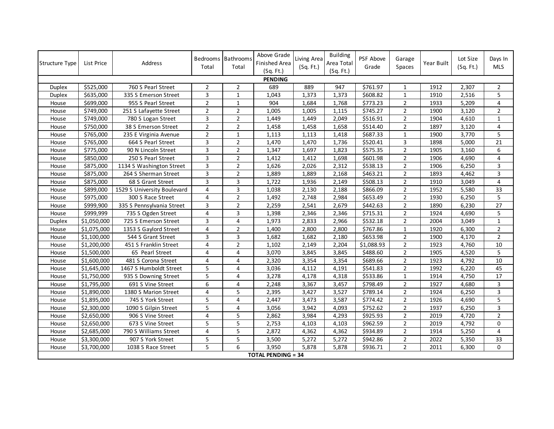| <b>Structure Type</b> | List Price  | Address                     | Bedrooms<br>Total       | Bathrooms<br>Total | Above Grade<br>Finished Area<br>(Sq. Ft.) | Living Area<br>(Sq. Ft.) | <b>Building</b><br>Area Total<br>(Sq. Ft.) | PSF Above<br>Grade | Garage<br>Spaces | Year Built | Lot Size<br>(Sq. Ft.) | Days In<br><b>MLS</b> |
|-----------------------|-------------|-----------------------------|-------------------------|--------------------|-------------------------------------------|--------------------------|--------------------------------------------|--------------------|------------------|------------|-----------------------|-----------------------|
|                       |             |                             |                         |                    | <b>PENDING</b>                            |                          |                                            |                    |                  |            |                       |                       |
| Duplex                | \$525,000   | 760 S Pearl Street          | $\overline{2}$          | $\overline{2}$     | 689                                       | 889                      | 947                                        | \$761.97           | 1                | 1912       | 2,307                 | $\overline{2}$        |
| Duplex                | \$635,000   | 335 S Emerson Street        | $\overline{3}$          | $\mathbf{1}$       | 1,043                                     | 1,373                    | 1,373                                      | \$608.82           | $\mathbf 1$      | 1910       | 2,516                 | 5                     |
| House                 | \$699,000   | 955 S Pearl Street          | $\overline{2}$          | $\mathbf 1$        | 904                                       | 1,684                    | 1,768                                      | \$773.23           | $\overline{2}$   | 1933       | 5,209                 | 4                     |
| House                 | \$749,000   | 251 S Lafayette Street      | $\overline{2}$          | $\overline{2}$     | 1,005                                     | 1,005                    | 1,115                                      | \$745.27           | $\overline{2}$   | 1900       | 3,120                 | $\overline{2}$        |
| House                 | \$749,000   | 780 S Logan Street          | $\overline{3}$          | $\overline{2}$     | 1,449                                     | 1,449                    | 2,049                                      | \$516.91           | $\overline{2}$   | 1904       | 4,610                 | $\mathbf{1}$          |
| House                 | \$750,000   | 38 S Emerson Street         | $\overline{2}$          | $\overline{2}$     | 1,458                                     | 1,458                    | 1,658                                      | \$514.40           | $\overline{2}$   | 1897       | 3,120                 | 4                     |
| House                 | \$765,000   | 235 E Virginia Avenue       | $\overline{2}$          | $\mathbf 1$        | 1,113                                     | 1,113                    | 1,418                                      | \$687.33           | $\mathbf{1}$     | 1900       | 3,770                 | 5                     |
| House                 | \$765,000   | 664 S Pearl Street          | $\overline{3}$          | $\overline{2}$     | 1,470                                     | 1,470                    | 1,736                                      | \$520.41           | 3                | 1898       | 5,000                 | $\overline{21}$       |
| House                 | \$775,000   | 90 N Lincoln Street         | 3                       | $\overline{2}$     | 1,347                                     | 1,697                    | 1,823                                      | \$575.35           | $\overline{2}$   | 1905       | 3,160                 | 6                     |
| House                 | \$850,000   | 250 S Pearl Street          | 3                       | $\overline{2}$     | 1,412                                     | 1,412                    | 1,698                                      | \$601.98           | $\overline{2}$   | 1906       | 4,690                 | 4                     |
| House                 | \$875,000   | 1134 S Washington Street    | $\mathsf{3}$            | $\overline{2}$     | 1,626                                     | 2,026                    | 2,312                                      | \$538.13           | $\overline{2}$   | 1906       | 6,250                 | 3                     |
| House                 | \$875,000   | 264 S Sherman Street        | $\overline{3}$          | $\overline{2}$     | 1,889                                     | 1,889                    | 2,168                                      | \$463.21           | $\overline{2}$   | 1893       | 4,462                 | 3                     |
| House                 | \$875,000   | 68 S Grant Street           | $\overline{3}$          | 3                  | 1,722                                     | 1,936                    | 2,149                                      | \$508.13           | $\overline{2}$   | 1910       | 3,049                 | $\overline{4}$        |
| House                 | \$899,000   | 1529 S University Boulevard | $\overline{4}$          | 3                  | 1,038                                     | 2,130                    | 2,188                                      | \$866.09           | $\overline{2}$   | 1952       | 5,580                 | 33                    |
| House                 | \$975,000   | 300 S Race Street           | $\overline{4}$          | $\overline{2}$     | 1,492                                     | 2,748                    | 2,984                                      | \$653.49           | $\overline{2}$   | 1930       | 6,250                 | 5                     |
| House                 | \$999,900   | 335 S Pennsylvania Street   | 3                       | $\overline{2}$     | 2,259                                     | 2,541                    | 2,679                                      | \$442.63           | $\overline{2}$   | 1890       | 6,230                 | 27                    |
| House                 | \$999,999   | 735 S Ogden Street          | $\overline{\mathbf{4}}$ | 3                  | 1,398                                     | 2,346                    | 2,346                                      | \$715.31           | $\overline{2}$   | 1924       | 4,690                 | 5                     |
| Duplex                | \$1,050,000 | 725 S Emerson Street        | $\overline{3}$          | $\overline{4}$     | 1,973                                     | 2,833                    | 2,966                                      | \$532.18           | $\overline{2}$   | 2004       | 3,049                 | $\mathbf 1$           |
| House                 | \$1,075,000 | 1353 S Gaylord Street       | $\overline{4}$          | $\overline{2}$     | 1,400                                     | 2,800                    | 2,800                                      | \$767.86           | $\mathbf 1$      | 1920       | 6,300                 | $\overline{2}$        |
| House                 | \$1,100,000 | 544 S Grant Street          | 3                       | 3                  | 1,682                                     | 1,682                    | 2,180                                      | \$653.98           | $\overline{2}$   | 1900       | 4,170                 | $\overline{2}$        |
| House                 | \$1,200,000 | 451 S Franklin Street       | $\overline{4}$          | $\overline{2}$     | 1,102                                     | 2,149                    | 2,204                                      | \$1,088.93         | $\overline{2}$   | 1923       | 4,760                 | 10                    |
| House                 | \$1,500,000 | 65 Pearl Street             | $\overline{4}$          | 4                  | 3,070                                     | 3,845                    | 3,845                                      | \$488.60           | $\overline{2}$   | 1905       | 4,520                 | 5                     |
| House                 | \$1,600,000 | 481 S Corona Street         | $\overline{4}$          | 4                  | 2,320                                     | 3,354                    | 3,354                                      | \$689.66           | $\overline{2}$   | 1923       | 4,792                 | 10                    |
| House                 | \$1,645,000 | 1467 S Humboldt Street      | 5                       | 4                  | 3,036                                     | 4,112                    | 4,191                                      | \$541.83           | $\overline{2}$   | 1992       | 6,220                 | 45                    |
| House                 | \$1,750,000 | 935 S Downing Street        | 5                       | 4                  | 3,278                                     | 4,178                    | 4,318                                      | \$533.86           | $\mathbf{1}$     | 1914       | 4,750                 | 17                    |
| House                 | \$1,795,000 | 691 S Vine Street           | 6                       | 4                  | 2,248                                     | 3,367                    | 3,457                                      | \$798.49           | $\overline{2}$   | 1927       | 4,680                 | 3                     |
| House                 | \$1,890,000 | 1380 S Marion Street        | $\overline{4}$          | 5                  | 2,395                                     | 3,427                    | 3,527                                      | \$789.14           | $\overline{2}$   | 1924       | 6,250                 | 3                     |
| House                 | \$1,895,000 | 745 S York Street           | 5                       | 4                  | 2,447                                     | 3,473                    | 3,587                                      | \$774.42           | $\overline{2}$   | 1926       | 4,690                 | 5                     |
| House                 | \$2,300,000 | 1090 S Gilpin Street        | 5                       | 4                  | 3,056                                     | 3,942                    | 4,093                                      | \$752.62           | $\overline{2}$   | 1937       | 6,250                 | 3                     |
| House                 | \$2,650,000 | 906 S Vine Street           | $\overline{4}$          | 5                  | 2,862                                     | 3,984                    | 4,293                                      | \$925.93           | $\overline{2}$   | 2019       | 4,720                 | $\overline{2}$        |
| House                 | \$2,650,000 | 673 S Vine Street           | 5                       | 5                  | 2,753                                     | 4,103                    | 4,103                                      | \$962.59           | $\overline{2}$   | 2019       | 4,792                 | 0                     |
| House                 | \$2,685,000 | 790 S Williams Street       | $\overline{4}$          | 5                  | 2,872                                     | 4,362                    | 4,362                                      | \$934.89           | $\overline{2}$   | 1914       | 5,250                 | 4                     |
| House                 | \$3,300,000 | 907 S York Street           | 5                       | 5                  | 3,500                                     | 5,272                    | 5,272                                      | \$942.86           | $\overline{2}$   | 2022       | 5,350                 | 33                    |
| House                 | \$3,700,000 | 1038 S Race Street          | 5                       | 6                  | 3,950                                     | 5,878                    | 5,878                                      | \$936.71           | $\overline{2}$   | 2011       | 6,300                 | 0                     |
|                       |             |                             |                         |                    | <b>TOTAL PENDING = 34</b>                 |                          |                                            |                    |                  |            |                       |                       |